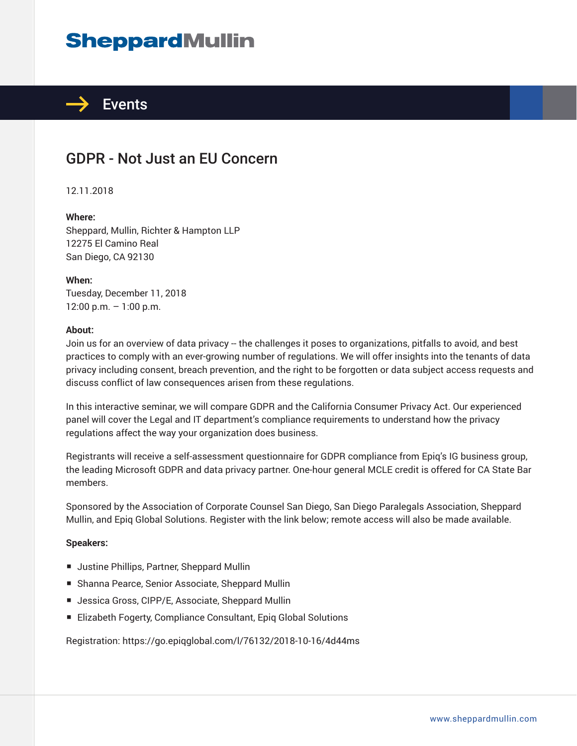# **SheppardMullin**



### GDPR - Not Just an EU Concern

12.11.2018

#### **Where:**

Sheppard, Mullin, Richter & Hampton LLP 12275 El Camino Real San Diego, CA 92130

**When:** Tuesday, December 11, 2018 12:00 p.m. – 1:00 p.m.

#### **About:**

Join us for an overview of data privacy -- the challenges it poses to organizations, pitfalls to avoid, and best practices to comply with an ever-growing number of regulations. We will offer insights into the tenants of data privacy including consent, breach prevention, and the right to be forgotten or data subject access requests and discuss conflict of law consequences arisen from these regulations.

In this interactive seminar, we will compare GDPR and the California Consumer Privacy Act. Our experienced panel will cover the Legal and IT department's compliance requirements to understand how the privacy regulations affect the way your organization does business.

Registrants will receive a self-assessment questionnaire for GDPR compliance from Epiq's IG business group, the leading Microsoft GDPR and data privacy partner. One-hour general MCLE credit is offered for CA State Bar members.

Sponsored by the Association of Corporate Counsel San Diego, San Diego Paralegals Association, Sheppard Mullin, and Epiq Global Solutions. Register with the link below; remote access will also be made available.

#### **Speakers:**

- Justine Phillips, Partner, Sheppard Mullin
- Shanna Pearce, Senior Associate, Sheppard Mullin
- Jessica Gross, CIPP/E, Associate, Sheppard Mullin
- Elizabeth Fogerty, Compliance Consultant, Epig Global Solutions

Registration: https://go.epiqglobal.com/l/76132/2018-10-16/4d44ms